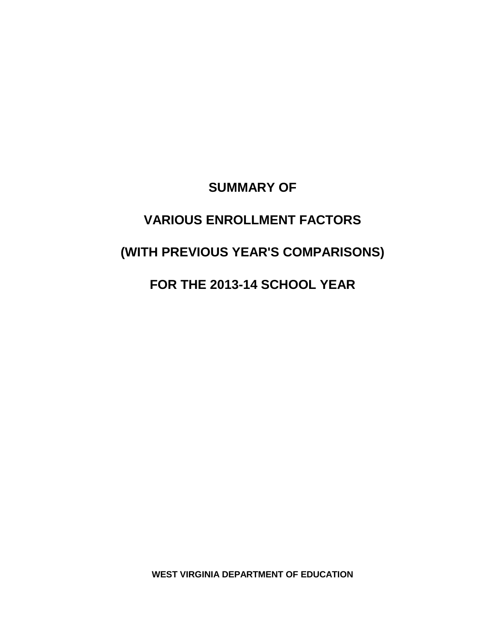### **SUMMARY OF**

## **VARIOUS ENROLLMENT FACTORS**

# **(WITH PREVIOUS YEAR'S COMPARISONS)**

## **FOR THE 2013-14 SCHOOL YEAR**

**WEST VIRGINIA DEPARTMENT OF EDUCATION**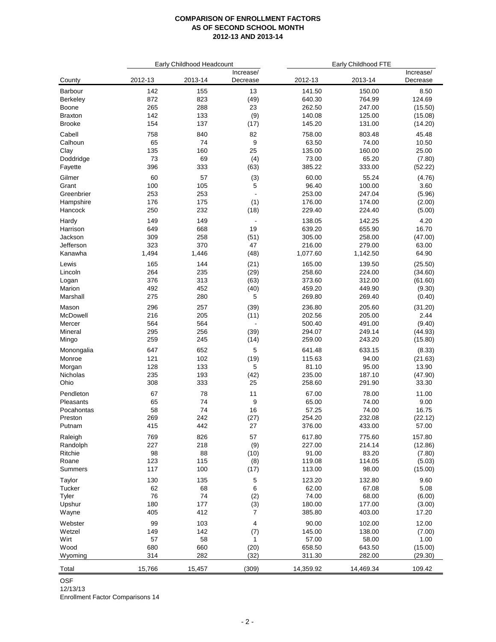|                |         | Early Childhood Headcount |                          |           | Early Childhood FTE |                       |  |  |
|----------------|---------|---------------------------|--------------------------|-----------|---------------------|-----------------------|--|--|
| County         | 2012-13 | 2013-14                   | Increase/<br>Decrease    | 2012-13   | 2013-14             | Increase/<br>Decrease |  |  |
| <b>Barbour</b> | 142     | 155                       | 13                       | 141.50    | 150.00              | 8.50                  |  |  |
| Berkeley       | 872     | 823                       | (49)                     | 640.30    | 764.99              | 124.69                |  |  |
| Boone          | 265     | 288                       | 23                       | 262.50    | 247.00              | (15.50)               |  |  |
| Braxton        | 142     | 133                       | (9)                      | 140.08    | 125.00              | (15.08)               |  |  |
| Brooke         | 154     | 137                       | (17)                     | 145.20    | 131.00              | (14.20)               |  |  |
| Cabell         | 758     | 840                       | 82                       | 758.00    | 803.48              | 45.48                 |  |  |
| Calhoun        | 65      | 74                        | 9                        | 63.50     | 74.00               | 10.50                 |  |  |
| Clay           | 135     | 160                       | 25                       | 135.00    | 160.00              | 25.00                 |  |  |
| Doddridge      | 73      | 69                        | (4)                      | 73.00     | 65.20               | (7.80)                |  |  |
| Fayette        | 396     | 333                       | (63)                     | 385.22    | 333.00              | (52.22)               |  |  |
| Gilmer         | 60      | 57                        | (3)                      | 60.00     | 55.24               | (4.76)                |  |  |
| Grant          | 100     | 105                       | 5                        | 96.40     | 100.00              | 3.60                  |  |  |
| Greenbrier     | 253     | 253                       | $\overline{\phantom{a}}$ | 253.00    | 247.04              | (5.96)                |  |  |
| Hampshire      | 176     | 175                       | (1)                      | 176.00    | 174.00              | (2.00)                |  |  |
| Hancock        | 250     | 232                       | (18)                     | 229.40    | 224.40              | (5.00)                |  |  |
| Hardy          | 149     | 149                       | $\overline{\phantom{a}}$ | 138.05    | 142.25              | 4.20                  |  |  |
| Harrison       | 649     | 668                       | 19                       | 639.20    | 655.90              | 16.70                 |  |  |
| Jackson        | 309     | 258                       | (51)                     | 305.00    | 258.00              | (47.00)               |  |  |
| Jefferson      | 323     | 370                       | 47                       | 216.00    | 279.00              | 63.00                 |  |  |
| Kanawha        | 1,494   | 1,446                     | (48)                     | 1,077.60  | 1,142.50            | 64.90                 |  |  |
| Lewis          | 165     | 144                       | (21)                     | 165.00    | 139.50              | (25.50)               |  |  |
| Lincoln        | 264     | 235                       | (29)                     | 258.60    | 224.00              | (34.60)               |  |  |
| Logan          | 376     | 313                       | (63)                     | 373.60    | 312.00              | (61.60)               |  |  |
| Marion         | 492     | 452                       | (40)                     | 459.20    | 449.90              | (9.30)                |  |  |
| Marshall       | 275     | 280                       | 5                        | 269.80    | 269.40              | (0.40)                |  |  |
| Mason          | 296     | 257                       | (39)                     | 236.80    | 205.60              | (31.20)               |  |  |
| McDowell       | 216     | 205                       | (11)                     | 202.56    | 205.00              | 2.44                  |  |  |
| Mercer         | 564     | 564                       | $\overline{\phantom{a}}$ | 500.40    | 491.00              | (9.40)                |  |  |
| Mineral        | 295     | 256                       | (39)                     | 294.07    | 249.14              | (44.93)               |  |  |
| Mingo          | 259     | 245                       | (14)                     | 259.00    | 243.20              | (15.80)               |  |  |
| Monongalia     | 647     | 652                       | 5                        | 641.48    | 633.15              | (8.33)                |  |  |
| Monroe         | 121     | 102                       | (19)                     | 115.63    | 94.00               | (21.63)               |  |  |
| Morgan         | 128     | 133                       | 5                        | 81.10     | 95.00               | 13.90                 |  |  |
| Nicholas       | 235     | 193                       | (42)                     | 235.00    | 187.10              | (47.90)               |  |  |
| Ohio           | 308     | 333                       | 25                       | 258.60    | 291.90              | 33.30                 |  |  |
| Pendleton      | 67      | 78                        | 11                       | 67.00     | 78.00               | 11.00                 |  |  |
| Pleasants      | 65      | 74                        | 9                        | 65.00     | 74.00               | 9.00                  |  |  |
| Pocahontas     | 58      | 74                        | 16                       | 57.25     | 74.00               | 16.75                 |  |  |
| Preston        | 269     | 242                       | (27)                     | 254.20    | 232.08              | (22.12)               |  |  |
| Putnam         | 415     | 442                       | 27                       | 376.00    | 433.00              | 57.00                 |  |  |
| Raleigh        | 769     | 826                       | 57                       | 617.80    | 775.60              | 157.80                |  |  |
| Randolph       | 227     | 218                       | (9)                      | 227.00    | 214.14              | (12.86)               |  |  |
| Ritchie        | 98      | 88                        | (10)                     | 91.00     | 83.20               | (7.80)                |  |  |
| Roane          | 123     | 115                       | (8)                      | 119.08    | 114.05              | (5.03)                |  |  |
| Summers        | 117     | 100                       | (17)                     | 113.00    | 98.00               | (15.00)               |  |  |
| Taylor         | 130     | 135                       | 5                        | 123.20    | 132.80              | 9.60                  |  |  |
| Tucker         | 62      | 68                        | 6                        | 62.00     | 67.08               | 5.08                  |  |  |
| Tyler          | 76      | 74                        | (2)                      | 74.00     | 68.00               | (6.00)                |  |  |
| Upshur         | 180     | 177                       | (3)                      | 180.00    | 177.00              | (3.00)                |  |  |
| Wayne          | 405     | 412                       | $\overline{7}$           | 385.80    | 403.00              | 17.20                 |  |  |
| Webster        | 99      | 103                       | 4                        | 90.00     | 102.00              | 12.00                 |  |  |
| Wetzel         | 149     | 142                       | (7)                      | 145.00    | 138.00              | (7.00)                |  |  |
| Wirt           | 57      | 58                        | 1                        | 57.00     | 58.00               | 1.00                  |  |  |
| Wood           | 680     | 660                       | (20)                     | 658.50    | 643.50              | (15.00)               |  |  |
| Wyoming        | 314     | 282                       | (32)                     | 311.30    | 282.00              | (29.30)               |  |  |
|                |         |                           |                          |           |                     |                       |  |  |
| Total          | 15,766  | 15,457                    | (309)                    | 14,359.92 | 14,469.34           | 109.42                |  |  |

OSF

12/13/13

Enrollment Factor Comparisons 14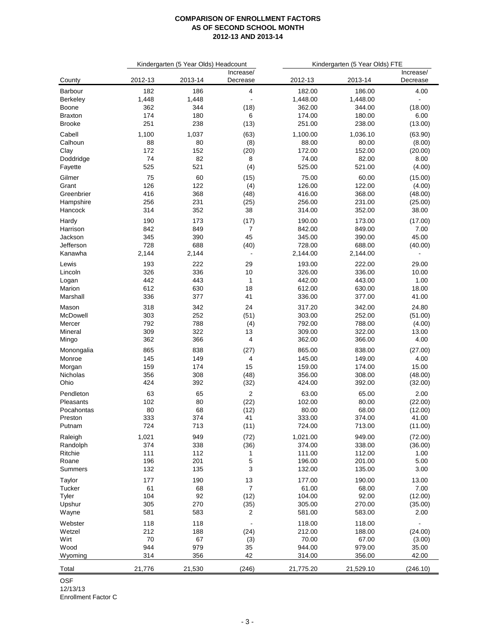|                 |            | Kindergarten (5 Year Olds) Headcount |                          | Kindergarten (5 Year Olds) FTE |                  |                       |
|-----------------|------------|--------------------------------------|--------------------------|--------------------------------|------------------|-----------------------|
| County          | 2012-13    | 2013-14                              | Increase/<br>Decrease    | 2012-13                        | 2013-14          | Increase/<br>Decrease |
| Barbour         | 182        | 186                                  | 4                        | 182.00                         | 186.00           | 4.00                  |
| <b>Berkeley</b> | 1,448      | 1,448                                |                          | 1,448.00                       | 1,448.00         |                       |
| <b>Boone</b>    | 362        | 344                                  | (18)                     | 362.00                         | 344.00           | (18.00)               |
| <b>Braxton</b>  | 174        | 180                                  | 6                        | 174.00                         | 180.00           | 6.00                  |
| <b>Brooke</b>   | 251        | 238                                  | (13)                     | 251.00                         | 238.00           | (13.00)               |
| Cabell          | 1,100      | 1,037                                | (63)                     | 1,100.00                       | 1,036.10         | (63.90)               |
| Calhoun         | 88         | 80                                   | (8)                      | 88.00                          | 80.00            | (8.00)                |
| Clay            | 172        | 152                                  | (20)                     | 172.00                         | 152.00           | (20.00)               |
| Doddridge       | 74         | 82                                   | 8                        | 74.00                          | 82.00            | 8.00                  |
| Fayette         | 525        | 521                                  | (4)                      | 525.00                         | 521.00           | (4.00)                |
| Gilmer          | 75         | 60                                   | (15)                     | 75.00                          | 60.00            | (15.00)               |
| Grant           | 126        | 122                                  | (4)                      | 126.00                         | 122.00           | (4.00)                |
| Greenbrier      | 416        | 368                                  | (48)                     | 416.00                         | 368.00           | (48.00)               |
| Hampshire       | 256        | 231                                  | (25)                     | 256.00                         | 231.00           | (25.00)               |
| Hancock         | 314        | 352                                  | 38                       | 314.00                         | 352.00           | 38.00                 |
| Hardy           | 190        | 173                                  | (17)                     | 190.00                         | 173.00           | (17.00)               |
| Harrison        | 842        | 849                                  | $\overline{7}$           | 842.00                         | 849.00           | 7.00                  |
| Jackson         | 345        | 390                                  | 45                       | 345.00                         | 390.00           | 45.00                 |
| Jefferson       | 728        | 688                                  | (40)                     | 728.00                         | 688.00           | (40.00)               |
| Kanawha         | 2,144      | 2,144                                | $\overline{\phantom{a}}$ | 2,144.00                       | 2,144.00         | $\blacksquare$        |
| Lewis           | 193        | 222                                  | 29                       | 193.00                         | 222.00           | 29.00                 |
| Lincoln         | 326        | 336                                  | 10                       | 326.00                         | 336.00           | 10.00                 |
| Logan           | 442        | 443                                  | $\mathbf{1}$             | 442.00                         | 443.00           | 1.00                  |
| Marion          | 612        | 630                                  | 18                       | 612.00                         | 630.00           | 18.00                 |
| Marshall        | 336        | 377                                  | 41                       | 336.00                         | 377.00           | 41.00                 |
|                 |            |                                      |                          |                                |                  |                       |
| Mason           | 318        | 342                                  | 24                       | 317.20                         | 342.00           | 24.80                 |
| McDowell        | 303        | 252                                  | (51)                     | 303.00                         | 252.00           | (51.00)               |
| Mercer          | 792<br>309 | 788<br>322                           | (4)                      | 792.00<br>309.00               | 788.00<br>322.00 | (4.00)                |
| Mineral         | 362        | 366                                  | 13<br>4                  | 362.00                         | 366.00           | 13.00<br>4.00         |
| Mingo           |            |                                      |                          |                                |                  |                       |
| Monongalia      | 865        | 838                                  | (27)                     | 865.00                         | 838.00           | (27.00)               |
| Monroe          | 145        | 149                                  | 4                        | 145.00                         | 149.00           | 4.00                  |
| Morgan          | 159        | 174                                  | 15                       | 159.00                         | 174.00           | 15.00                 |
| Nicholas        | 356        | 308                                  | (48)                     | 356.00                         | 308.00           | (48.00)               |
| Ohio            | 424        | 392                                  | (32)                     | 424.00                         | 392.00           | (32.00)               |
| Pendleton       | 63         | 65                                   | $\overline{2}$           | 63.00                          | 65.00            | 2.00                  |
| Pleasants       | 102        | 80                                   | (22)                     | 102.00                         | 80.00            | (22.00)               |
| Pocahontas      | 80         | 68                                   | (12)                     | 80.00                          | 68.00            | (12.00)               |
| Preston         | 333        | 374                                  | 41                       | 333.00                         | 374.00           | 41.00                 |
| Putnam          | 724        | 713                                  | (11)                     | 724.00                         | 713.00           | (11.00)               |
| Raleigh         | 1,021      | 949                                  | (72)                     | 1,021.00                       | 949.00           | (72.00)               |
| Randolph        | 374        | 338                                  | (36)                     | 374.00                         | 338.00           | (36.00)               |
| Ritchie         | 111        | 112                                  | 1                        | 111.00                         | 112.00           | 1.00                  |
| Roane           | 196        | 201                                  | 5                        | 196.00                         | 201.00           | 5.00                  |
| Summers         | 132        | 135                                  | 3                        | 132.00                         | 135.00           | 3.00                  |
| Taylor          | 177        | 190                                  | 13                       | 177.00                         | 190.00           | 13.00                 |
| Tucker          | 61         | 68                                   | $\overline{7}$           | 61.00                          | 68.00            | 7.00                  |
| Tyler           | 104        | 92                                   | (12)                     | 104.00                         | 92.00            | (12.00)               |
| Upshur          | 305        | 270                                  | (35)                     | 305.00                         | 270.00           | (35.00)               |
| Wayne           | 581        | 583                                  | 2                        | 581.00                         | 583.00           | 2.00                  |
| Webster         | 118        | 118                                  |                          | 118.00                         | 118.00           |                       |
| Wetzel          | 212        | 188                                  | (24)                     | 212.00                         | 188.00           | (24.00)               |
| Wirt            | 70         | 67                                   | (3)                      | 70.00                          | 67.00            | (3.00)                |
| Wood            | 944        | 979                                  | 35                       | 944.00                         | 979.00           | 35.00                 |
| Wyoming         | 314        | 356                                  | 42                       | 314.00                         | 356.00           | 42.00                 |
|                 |            |                                      |                          |                                |                  |                       |
| Total           | 21,776     | 21,530                               | (246)                    | 21,775.20                      | 21,529.10        | (246.10)              |

OSF

12/13/13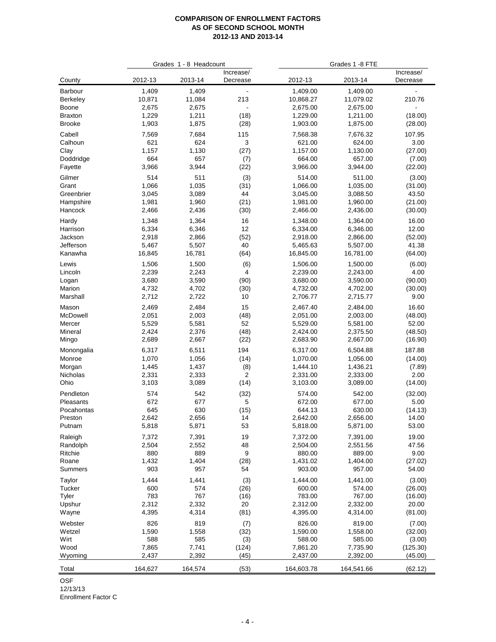|                  |              | Grades 1 - 8 Headcount |                       | Grades 1 -8 FTE    |                    |                       |  |
|------------------|--------------|------------------------|-----------------------|--------------------|--------------------|-----------------------|--|
| County           | 2012-13      | 2013-14                | Increase/<br>Decrease | 2012-13            | 2013-14            | Increase/<br>Decrease |  |
| Barbour          | 1,409        | 1,409                  |                       | 1,409.00           | 1,409.00           |                       |  |
| <b>Berkeley</b>  | 10,871       | 11,084                 | 213                   | 10,868.27          | 11,079.02          | 210.76                |  |
| Boone            | 2,675        | 2,675                  |                       | 2,675.00           | 2,675.00           |                       |  |
| <b>Braxton</b>   | 1,229        | 1,211                  | (18)                  | 1,229.00           | 1,211.00           | (18.00)               |  |
| <b>Brooke</b>    | 1,903        | 1,875                  | (28)                  | 1,903.00           | 1,875.00           | (28.00)               |  |
| Cabell           | 7,569        | 7,684                  | 115                   | 7,568.38           | 7,676.32           | 107.95                |  |
| Calhoun          | 621          | 624                    | 3                     | 621.00             | 624.00             | 3.00                  |  |
| Clay             | 1,157        | 1,130                  | (27)                  | 1,157.00           | 1,130.00           | (27.00)               |  |
| Doddridge        | 664          | 657                    | (7)                   | 664.00             | 657.00             | (7.00)                |  |
| Fayette          | 3,966        | 3,944                  | (22)                  | 3,966.00           | 3,944.00           | (22.00)               |  |
| Gilmer           | 514          | 511                    | (3)                   | 514.00             | 511.00             | (3.00)                |  |
| Grant            | 1,066        | 1,035                  | (31)                  | 1,066.00           | 1,035.00           | (31.00)               |  |
| Greenbrier       | 3,045        | 3,089                  | 44                    | 3,045.00           | 3,088.50           | 43.50                 |  |
| Hampshire        | 1,981        | 1,960                  | (21)                  | 1,981.00           | 1,960.00           | (21.00)               |  |
| Hancock          | 2,466        | 2,436                  | (30)                  | 2,466.00           | 2,436.00           | (30.00)               |  |
| Hardy            | 1,348        | 1,364                  | 16                    | 1,348.00           | 1,364.00           | 16.00                 |  |
| Harrison         | 6,334        | 6,346                  | 12                    | 6,334.00           | 6,346.00           | 12.00                 |  |
| Jackson          | 2,918        | 2,866                  | (52)                  | 2,918.00           | 2,866.00           | (52.00)               |  |
| Jefferson        | 5,467        | 5,507                  | 40                    | 5,465.63           | 5,507.00           | 41.38                 |  |
| Kanawha          | 16,845       | 16,781                 | (64)                  | 16,845.00          | 16,781.00          | (64.00)               |  |
| Lewis            | 1,506        | 1,500                  | (6)                   | 1,506.00           | 1,500.00           | (6.00)                |  |
| Lincoln          | 2,239        | 2,243                  | 4                     | 2,239.00           | 2,243.00           | 4.00                  |  |
| Logan            | 3,680        | 3,590                  | (90)                  | 3,680.00           | 3,590.00           | (90.00)               |  |
| Marion           | 4,732        | 4,702                  | (30)                  | 4,732.00           | 4,702.00           | (30.00)               |  |
| Marshall         | 2,712        | 2,722                  | 10                    | 2,706.77           | 2,715.77           | 9.00                  |  |
| Mason            | 2,469        | 2,484                  | 15                    | 2,467.40           | 2,484.00           | 16.60                 |  |
| McDowell         | 2,051        | 2,003                  | (48)                  | 2,051.00           | 2,003.00           | (48.00)               |  |
| Mercer           | 5,529        | 5,581                  | 52                    | 5,529.00           | 5,581.00           | 52.00                 |  |
| Mineral          | 2,424        | 2,376                  | (48)                  | 2,424.00           | 2,375.50           | (48.50)               |  |
| Mingo            | 2,689        | 2,667                  | (22)                  | 2,683.90           | 2,667.00           | (16.90)               |  |
| Monongalia       | 6,317        | 6,511                  | 194                   | 6,317.00           | 6,504.88           | 187.88                |  |
| Monroe           | 1,070        | 1,056                  | (14)                  | 1,070.00           | 1,056.00           | (14.00)               |  |
| Morgan           | 1,445        | 1,437                  | (8)                   | 1,444.10           | 1,436.21           | (7.89)                |  |
| Nicholas         | 2,331        | 2,333                  | 2                     | 2,331.00           | 2,333.00           | 2.00                  |  |
| Ohio             | 3,103        | 3,089                  | (14)                  | 3,103.00           | 3,089.00           | (14.00)               |  |
| Pendleton        | 574          | 542                    | (32)                  | 574.00             | 542.00             |                       |  |
| Pleasants        | 672          | 677                    | 5                     | 672.00             | 677.00             | (32.00)<br>5.00       |  |
| Pocahontas       | 645          | 630                    | (15)                  | 644.13             | 630.00             | (14.13)               |  |
| Preston          | 2,642        | 2,656                  | 14                    | 2,642.00           | 2,656.00           | 14.00                 |  |
| Putnam           | 5,818        | 5,871                  | 53                    | 5,818.00           | 5,871.00           | 53.00                 |  |
|                  |              |                        |                       |                    |                    |                       |  |
| Raleigh          | 7,372        | 7,391                  | 19                    | 7,372.00           | 7,391.00           | 19.00                 |  |
| Randolph         | 2,504        | 2,552                  | 48                    | 2,504.00           | 2,551.56           | 47.56                 |  |
| Ritchie          | 880          | 889                    | 9                     | 880.00             | 889.00             | 9.00                  |  |
| Roane<br>Summers | 1,432<br>903 | 1,404<br>957           | (28)<br>54            | 1,431.02<br>903.00 | 1,404.00<br>957.00 | (27.02)<br>54.00      |  |
|                  |              |                        |                       |                    |                    |                       |  |
| Taylor           | 1,444        | 1,441                  | (3)                   | 1,444.00           | 1,441.00           | (3.00)                |  |
| Tucker           | 600          | 574                    | (26)                  | 600.00             | 574.00             | (26.00)               |  |
| Tyler            | 783          | 767                    | (16)                  | 783.00             | 767.00             | (16.00)               |  |
| Upshur           | 2,312        | 2,332                  | 20                    | 2,312.00           | 2,332.00           | 20.00                 |  |
| Wayne            | 4,395        | 4,314                  | (81)                  | 4,395.00           | 4,314.00           | (81.00)               |  |
| Webster          | 826          | 819                    | (7)                   | 826.00             | 819.00             | (7.00)                |  |
| Wetzel           | 1,590        | 1,558                  | (32)                  | 1,590.00           | 1,558.00           | (32.00)               |  |
| Wirt             | 588          | 585                    | (3)                   | 588.00             | 585.00             | (3.00)                |  |
| Wood             | 7,865        | 7,741                  | (124)                 | 7,861.20           | 7,735.90           | (125.30)              |  |
| Wyoming          | 2,437        | 2,392                  | (45)                  | 2,437.00           | 2,392.00           | (45.00)               |  |
| Total            | 164,627      | 164,574                | (53)                  | 164,603.78         | 164,541.66         | (62.12)               |  |

OSF

12/13/13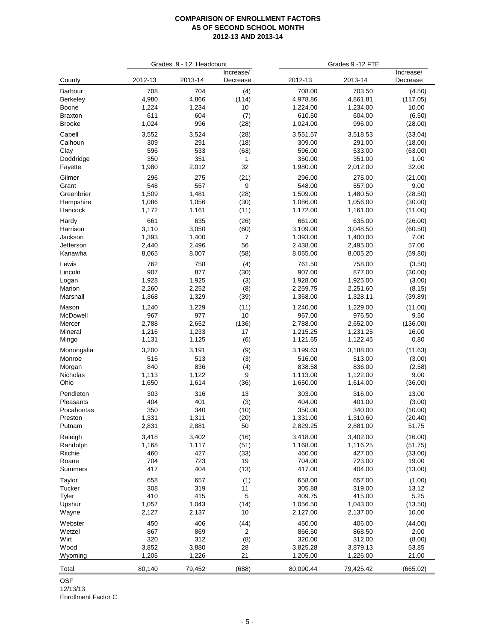| Increase/<br>Increase/<br>2013-14<br>County<br>2012-13<br>2012-13<br>2013-14<br>Decrease<br>Decrease<br>708<br>704<br>Barbour<br>(4)<br>708.00<br>703.50<br>(4.50)<br>4,980<br>4,866<br>4,978.86<br>4,861.81<br>(117.05)<br><b>Berkeley</b><br>(114)<br>1,224.00<br>1,234.00<br>Boone<br>1,224<br>1,234<br>10<br>10.00<br>611<br>604<br>610.50<br>604.00<br>(6.50)<br><b>Braxton</b><br>(7)<br>1,024<br>996<br>1,024.00<br>996.00<br><b>Brooke</b><br>(28)<br>(28.00)<br>Cabell<br>3,552<br>3,524<br>(28)<br>3,551.57<br>3,518.53<br>(33.04)<br>309<br>291<br>309.00<br>291.00<br>(18)<br>(18.00)<br>596<br>533<br>596.00<br>533.00<br>Clay<br>(63)<br>(63.00)<br>Doddridge<br>350<br>351<br>350.00<br>351.00<br>1.00<br>$\mathbf{1}$<br>32<br>1,980.00<br>2,012.00<br>32.00<br>Fayette<br>1,980<br>2,012<br>296<br>275.00<br>Gilmer<br>275<br>296.00<br>(21)<br>(21.00)<br>548<br>557<br>9<br>Grant<br>548.00<br>557.00<br>9.00<br>1,481<br>1,480.50<br>Greenbrier<br>1,509<br>(28)<br>1,509.00<br>(28.50)<br>1,086<br>1,056<br>1,086.00<br>1,056.00<br>Hampshire<br>(30)<br>(30.00)<br>1,172<br>1,161.00<br>Hancock<br>1,161<br>(11)<br>1,172.00<br>(11.00)<br>661<br>635<br>Hardy<br>(26)<br>661.00<br>635.00<br>(26.00)<br>3,110<br>3,050<br>3,109.00<br>3,048.50<br>Harrison<br>(60)<br>(60.50)<br>1,393<br>1,400<br>7.00<br>Jackson<br>7<br>1,393.00<br>1,400.00<br>2,496<br>56<br>2,438.00<br>2,495.00<br>57.00<br>Jefferson<br>2,440<br>8,005.20<br>Kanawha<br>8,065<br>8,007<br>(58)<br>8,065.00<br>(59.80)<br>762<br>758<br>(4)<br>761.50<br>758.00<br>(3.50)<br>Lewis<br>907<br>877<br>907.00<br>877.00<br>Lincoln<br>(30)<br>(30.00)<br>1,928<br>1,925<br>(3)<br>1,928.00<br>1,925.00<br>(3.00)<br>Logan<br>2,260<br>2,252<br>(8)<br>2,259.75<br>2,251.60<br>Marion<br>(8.15)<br>1,368<br>1,329<br>1,368.00<br>1,328.11<br>Marshall<br>(39)<br>(39.89)<br>Mason<br>1,240<br>1,229<br>(11)<br>1,240.00<br>1,229.00<br>(11.00)<br>977<br>967<br>967.00<br>976.50<br>9.50<br>McDowell<br>10<br>2,788<br>2,652<br>2,788.00<br>2,652.00<br>(136.00)<br>Mercer<br>(136)<br>1,216<br>1,233<br>1,231.25<br>16.00<br>Mineral<br>17<br>1,215.25<br>1,131<br>1,125<br>(6)<br>1,121.65<br>1,122.45<br>0.80<br>Mingo<br>Monongalia<br>3,200<br>3,191<br>(9)<br>3,199.63<br>3,188.00<br>(11.63)<br>516<br>513<br>(3)<br>516.00<br>513.00<br>(3.00)<br>Monroe<br>840<br>836<br>838.58<br>836.00<br>(4)<br>(2.58)<br>Morgan<br>Nicholas<br>1,113<br>1,122<br>1,113.00<br>1,122.00<br>9.00<br>9<br>1,650<br>Ohio<br>1,614<br>(36)<br>1,650.00<br>1,614.00<br>(36.00)<br>Pendleton<br>303<br>316<br>13<br>303.00<br>316.00<br>13.00<br>404<br>401<br>(3)<br>404.00<br>401.00<br>Pleasants<br>(3.00)<br>350<br>340<br>350.00<br>340.00<br>Pocahontas<br>(10)<br>(10.00)<br>1,331<br>1,331.00<br>1,310.60<br>Preston<br>1,311<br>(20)<br>(20.40)<br>2,831<br>2,881<br>2,829.25<br>2,881.00<br>51.75<br>Putnam<br>50<br>3,418<br>3,402<br>(16)<br>3,402.00<br>Raleigh<br>3,418.00<br>(16.00)<br>1,168<br>1,117<br>1,168.00<br>1,116.25<br>Randolph<br>(51)<br>(51.75)<br>Ritchie<br>460<br>427<br>(33)<br>460.00<br>427.00<br>(33.00)<br>Roane<br>704<br>723<br>704.00<br>723.00<br>19.00<br>19<br>417<br>404<br>(13)<br>417.00<br>404.00<br>(13.00)<br>Summers<br>658<br>657<br>(1)<br>658.00<br>657.00<br>(1.00)<br>Taylor<br>308<br>319<br>305.88<br>319.00<br>13.12<br>Tucker<br>11<br>410<br>415<br>5<br>409.75<br>415.00<br>5.25<br>Tyler<br>Upshur<br>1,057<br>(14)<br>1,056.50<br>1,043.00<br>(13.50)<br>1,043<br>2,127.00<br>2,137.00<br>10.00<br>Wayne<br>2,127<br>2,137<br>10<br>450<br>406<br>(44)<br>450.00<br>406.00<br>(44.00)<br>Webster<br>867<br>869<br>2.00<br>Wetzel<br>2<br>866.50<br>868.50<br>Wirt<br>320<br>312<br>(8)<br>320.00<br>312.00<br>(8.00)<br>Wood<br>3,852<br>3,825.28<br>3,879.13<br>53.85<br>3,880<br>28<br>1,205<br>1,226<br>21<br>1,205.00<br>1,226.00<br>21.00<br>Wyoming<br>80,140<br>79,452<br>(688)<br>80,090.44<br>79,425.42<br>(665.02)<br>Total |         | Grades 9 - 12 Headcount |  |  | Grades 9 - 12 FTE |  |  |
|--------------------------------------------------------------------------------------------------------------------------------------------------------------------------------------------------------------------------------------------------------------------------------------------------------------------------------------------------------------------------------------------------------------------------------------------------------------------------------------------------------------------------------------------------------------------------------------------------------------------------------------------------------------------------------------------------------------------------------------------------------------------------------------------------------------------------------------------------------------------------------------------------------------------------------------------------------------------------------------------------------------------------------------------------------------------------------------------------------------------------------------------------------------------------------------------------------------------------------------------------------------------------------------------------------------------------------------------------------------------------------------------------------------------------------------------------------------------------------------------------------------------------------------------------------------------------------------------------------------------------------------------------------------------------------------------------------------------------------------------------------------------------------------------------------------------------------------------------------------------------------------------------------------------------------------------------------------------------------------------------------------------------------------------------------------------------------------------------------------------------------------------------------------------------------------------------------------------------------------------------------------------------------------------------------------------------------------------------------------------------------------------------------------------------------------------------------------------------------------------------------------------------------------------------------------------------------------------------------------------------------------------------------------------------------------------------------------------------------------------------------------------------------------------------------------------------------------------------------------------------------------------------------------------------------------------------------------------------------------------------------------------------------------------------------------------------------------------------------------------------------------------------------------------------------------------------------------------------------------------------------------------------------------------------------------------------------------------------------------------------------------------------------------------------------------------------------------------------------------------------------------------------------------------------------------------------------------------------------------------------------------------------------------------------------------------------------------------------------------------------------------------------------------------------------------------------------------------------------------------------------------------------------------------------------------------------------------------------------------|---------|-------------------------|--|--|-------------------|--|--|
|                                                                                                                                                                                                                                                                                                                                                                                                                                                                                                                                                                                                                                                                                                                                                                                                                                                                                                                                                                                                                                                                                                                                                                                                                                                                                                                                                                                                                                                                                                                                                                                                                                                                                                                                                                                                                                                                                                                                                                                                                                                                                                                                                                                                                                                                                                                                                                                                                                                                                                                                                                                                                                                                                                                                                                                                                                                                                                                                                                                                                                                                                                                                                                                                                                                                                                                                                                                                                                                                                                                                                                                                                                                                                                                                                                                                                                                                                                                                                                                      |         |                         |  |  |                   |  |  |
|                                                                                                                                                                                                                                                                                                                                                                                                                                                                                                                                                                                                                                                                                                                                                                                                                                                                                                                                                                                                                                                                                                                                                                                                                                                                                                                                                                                                                                                                                                                                                                                                                                                                                                                                                                                                                                                                                                                                                                                                                                                                                                                                                                                                                                                                                                                                                                                                                                                                                                                                                                                                                                                                                                                                                                                                                                                                                                                                                                                                                                                                                                                                                                                                                                                                                                                                                                                                                                                                                                                                                                                                                                                                                                                                                                                                                                                                                                                                                                                      |         |                         |  |  |                   |  |  |
|                                                                                                                                                                                                                                                                                                                                                                                                                                                                                                                                                                                                                                                                                                                                                                                                                                                                                                                                                                                                                                                                                                                                                                                                                                                                                                                                                                                                                                                                                                                                                                                                                                                                                                                                                                                                                                                                                                                                                                                                                                                                                                                                                                                                                                                                                                                                                                                                                                                                                                                                                                                                                                                                                                                                                                                                                                                                                                                                                                                                                                                                                                                                                                                                                                                                                                                                                                                                                                                                                                                                                                                                                                                                                                                                                                                                                                                                                                                                                                                      |         |                         |  |  |                   |  |  |
|                                                                                                                                                                                                                                                                                                                                                                                                                                                                                                                                                                                                                                                                                                                                                                                                                                                                                                                                                                                                                                                                                                                                                                                                                                                                                                                                                                                                                                                                                                                                                                                                                                                                                                                                                                                                                                                                                                                                                                                                                                                                                                                                                                                                                                                                                                                                                                                                                                                                                                                                                                                                                                                                                                                                                                                                                                                                                                                                                                                                                                                                                                                                                                                                                                                                                                                                                                                                                                                                                                                                                                                                                                                                                                                                                                                                                                                                                                                                                                                      |         |                         |  |  |                   |  |  |
|                                                                                                                                                                                                                                                                                                                                                                                                                                                                                                                                                                                                                                                                                                                                                                                                                                                                                                                                                                                                                                                                                                                                                                                                                                                                                                                                                                                                                                                                                                                                                                                                                                                                                                                                                                                                                                                                                                                                                                                                                                                                                                                                                                                                                                                                                                                                                                                                                                                                                                                                                                                                                                                                                                                                                                                                                                                                                                                                                                                                                                                                                                                                                                                                                                                                                                                                                                                                                                                                                                                                                                                                                                                                                                                                                                                                                                                                                                                                                                                      |         |                         |  |  |                   |  |  |
|                                                                                                                                                                                                                                                                                                                                                                                                                                                                                                                                                                                                                                                                                                                                                                                                                                                                                                                                                                                                                                                                                                                                                                                                                                                                                                                                                                                                                                                                                                                                                                                                                                                                                                                                                                                                                                                                                                                                                                                                                                                                                                                                                                                                                                                                                                                                                                                                                                                                                                                                                                                                                                                                                                                                                                                                                                                                                                                                                                                                                                                                                                                                                                                                                                                                                                                                                                                                                                                                                                                                                                                                                                                                                                                                                                                                                                                                                                                                                                                      |         |                         |  |  |                   |  |  |
|                                                                                                                                                                                                                                                                                                                                                                                                                                                                                                                                                                                                                                                                                                                                                                                                                                                                                                                                                                                                                                                                                                                                                                                                                                                                                                                                                                                                                                                                                                                                                                                                                                                                                                                                                                                                                                                                                                                                                                                                                                                                                                                                                                                                                                                                                                                                                                                                                                                                                                                                                                                                                                                                                                                                                                                                                                                                                                                                                                                                                                                                                                                                                                                                                                                                                                                                                                                                                                                                                                                                                                                                                                                                                                                                                                                                                                                                                                                                                                                      |         |                         |  |  |                   |  |  |
|                                                                                                                                                                                                                                                                                                                                                                                                                                                                                                                                                                                                                                                                                                                                                                                                                                                                                                                                                                                                                                                                                                                                                                                                                                                                                                                                                                                                                                                                                                                                                                                                                                                                                                                                                                                                                                                                                                                                                                                                                                                                                                                                                                                                                                                                                                                                                                                                                                                                                                                                                                                                                                                                                                                                                                                                                                                                                                                                                                                                                                                                                                                                                                                                                                                                                                                                                                                                                                                                                                                                                                                                                                                                                                                                                                                                                                                                                                                                                                                      | Calhoun |                         |  |  |                   |  |  |
|                                                                                                                                                                                                                                                                                                                                                                                                                                                                                                                                                                                                                                                                                                                                                                                                                                                                                                                                                                                                                                                                                                                                                                                                                                                                                                                                                                                                                                                                                                                                                                                                                                                                                                                                                                                                                                                                                                                                                                                                                                                                                                                                                                                                                                                                                                                                                                                                                                                                                                                                                                                                                                                                                                                                                                                                                                                                                                                                                                                                                                                                                                                                                                                                                                                                                                                                                                                                                                                                                                                                                                                                                                                                                                                                                                                                                                                                                                                                                                                      |         |                         |  |  |                   |  |  |
|                                                                                                                                                                                                                                                                                                                                                                                                                                                                                                                                                                                                                                                                                                                                                                                                                                                                                                                                                                                                                                                                                                                                                                                                                                                                                                                                                                                                                                                                                                                                                                                                                                                                                                                                                                                                                                                                                                                                                                                                                                                                                                                                                                                                                                                                                                                                                                                                                                                                                                                                                                                                                                                                                                                                                                                                                                                                                                                                                                                                                                                                                                                                                                                                                                                                                                                                                                                                                                                                                                                                                                                                                                                                                                                                                                                                                                                                                                                                                                                      |         |                         |  |  |                   |  |  |
|                                                                                                                                                                                                                                                                                                                                                                                                                                                                                                                                                                                                                                                                                                                                                                                                                                                                                                                                                                                                                                                                                                                                                                                                                                                                                                                                                                                                                                                                                                                                                                                                                                                                                                                                                                                                                                                                                                                                                                                                                                                                                                                                                                                                                                                                                                                                                                                                                                                                                                                                                                                                                                                                                                                                                                                                                                                                                                                                                                                                                                                                                                                                                                                                                                                                                                                                                                                                                                                                                                                                                                                                                                                                                                                                                                                                                                                                                                                                                                                      |         |                         |  |  |                   |  |  |
|                                                                                                                                                                                                                                                                                                                                                                                                                                                                                                                                                                                                                                                                                                                                                                                                                                                                                                                                                                                                                                                                                                                                                                                                                                                                                                                                                                                                                                                                                                                                                                                                                                                                                                                                                                                                                                                                                                                                                                                                                                                                                                                                                                                                                                                                                                                                                                                                                                                                                                                                                                                                                                                                                                                                                                                                                                                                                                                                                                                                                                                                                                                                                                                                                                                                                                                                                                                                                                                                                                                                                                                                                                                                                                                                                                                                                                                                                                                                                                                      |         |                         |  |  |                   |  |  |
|                                                                                                                                                                                                                                                                                                                                                                                                                                                                                                                                                                                                                                                                                                                                                                                                                                                                                                                                                                                                                                                                                                                                                                                                                                                                                                                                                                                                                                                                                                                                                                                                                                                                                                                                                                                                                                                                                                                                                                                                                                                                                                                                                                                                                                                                                                                                                                                                                                                                                                                                                                                                                                                                                                                                                                                                                                                                                                                                                                                                                                                                                                                                                                                                                                                                                                                                                                                                                                                                                                                                                                                                                                                                                                                                                                                                                                                                                                                                                                                      |         |                         |  |  |                   |  |  |
|                                                                                                                                                                                                                                                                                                                                                                                                                                                                                                                                                                                                                                                                                                                                                                                                                                                                                                                                                                                                                                                                                                                                                                                                                                                                                                                                                                                                                                                                                                                                                                                                                                                                                                                                                                                                                                                                                                                                                                                                                                                                                                                                                                                                                                                                                                                                                                                                                                                                                                                                                                                                                                                                                                                                                                                                                                                                                                                                                                                                                                                                                                                                                                                                                                                                                                                                                                                                                                                                                                                                                                                                                                                                                                                                                                                                                                                                                                                                                                                      |         |                         |  |  |                   |  |  |
|                                                                                                                                                                                                                                                                                                                                                                                                                                                                                                                                                                                                                                                                                                                                                                                                                                                                                                                                                                                                                                                                                                                                                                                                                                                                                                                                                                                                                                                                                                                                                                                                                                                                                                                                                                                                                                                                                                                                                                                                                                                                                                                                                                                                                                                                                                                                                                                                                                                                                                                                                                                                                                                                                                                                                                                                                                                                                                                                                                                                                                                                                                                                                                                                                                                                                                                                                                                                                                                                                                                                                                                                                                                                                                                                                                                                                                                                                                                                                                                      |         |                         |  |  |                   |  |  |
|                                                                                                                                                                                                                                                                                                                                                                                                                                                                                                                                                                                                                                                                                                                                                                                                                                                                                                                                                                                                                                                                                                                                                                                                                                                                                                                                                                                                                                                                                                                                                                                                                                                                                                                                                                                                                                                                                                                                                                                                                                                                                                                                                                                                                                                                                                                                                                                                                                                                                                                                                                                                                                                                                                                                                                                                                                                                                                                                                                                                                                                                                                                                                                                                                                                                                                                                                                                                                                                                                                                                                                                                                                                                                                                                                                                                                                                                                                                                                                                      |         |                         |  |  |                   |  |  |
|                                                                                                                                                                                                                                                                                                                                                                                                                                                                                                                                                                                                                                                                                                                                                                                                                                                                                                                                                                                                                                                                                                                                                                                                                                                                                                                                                                                                                                                                                                                                                                                                                                                                                                                                                                                                                                                                                                                                                                                                                                                                                                                                                                                                                                                                                                                                                                                                                                                                                                                                                                                                                                                                                                                                                                                                                                                                                                                                                                                                                                                                                                                                                                                                                                                                                                                                                                                                                                                                                                                                                                                                                                                                                                                                                                                                                                                                                                                                                                                      |         |                         |  |  |                   |  |  |
|                                                                                                                                                                                                                                                                                                                                                                                                                                                                                                                                                                                                                                                                                                                                                                                                                                                                                                                                                                                                                                                                                                                                                                                                                                                                                                                                                                                                                                                                                                                                                                                                                                                                                                                                                                                                                                                                                                                                                                                                                                                                                                                                                                                                                                                                                                                                                                                                                                                                                                                                                                                                                                                                                                                                                                                                                                                                                                                                                                                                                                                                                                                                                                                                                                                                                                                                                                                                                                                                                                                                                                                                                                                                                                                                                                                                                                                                                                                                                                                      |         |                         |  |  |                   |  |  |
|                                                                                                                                                                                                                                                                                                                                                                                                                                                                                                                                                                                                                                                                                                                                                                                                                                                                                                                                                                                                                                                                                                                                                                                                                                                                                                                                                                                                                                                                                                                                                                                                                                                                                                                                                                                                                                                                                                                                                                                                                                                                                                                                                                                                                                                                                                                                                                                                                                                                                                                                                                                                                                                                                                                                                                                                                                                                                                                                                                                                                                                                                                                                                                                                                                                                                                                                                                                                                                                                                                                                                                                                                                                                                                                                                                                                                                                                                                                                                                                      |         |                         |  |  |                   |  |  |
|                                                                                                                                                                                                                                                                                                                                                                                                                                                                                                                                                                                                                                                                                                                                                                                                                                                                                                                                                                                                                                                                                                                                                                                                                                                                                                                                                                                                                                                                                                                                                                                                                                                                                                                                                                                                                                                                                                                                                                                                                                                                                                                                                                                                                                                                                                                                                                                                                                                                                                                                                                                                                                                                                                                                                                                                                                                                                                                                                                                                                                                                                                                                                                                                                                                                                                                                                                                                                                                                                                                                                                                                                                                                                                                                                                                                                                                                                                                                                                                      |         |                         |  |  |                   |  |  |
|                                                                                                                                                                                                                                                                                                                                                                                                                                                                                                                                                                                                                                                                                                                                                                                                                                                                                                                                                                                                                                                                                                                                                                                                                                                                                                                                                                                                                                                                                                                                                                                                                                                                                                                                                                                                                                                                                                                                                                                                                                                                                                                                                                                                                                                                                                                                                                                                                                                                                                                                                                                                                                                                                                                                                                                                                                                                                                                                                                                                                                                                                                                                                                                                                                                                                                                                                                                                                                                                                                                                                                                                                                                                                                                                                                                                                                                                                                                                                                                      |         |                         |  |  |                   |  |  |
|                                                                                                                                                                                                                                                                                                                                                                                                                                                                                                                                                                                                                                                                                                                                                                                                                                                                                                                                                                                                                                                                                                                                                                                                                                                                                                                                                                                                                                                                                                                                                                                                                                                                                                                                                                                                                                                                                                                                                                                                                                                                                                                                                                                                                                                                                                                                                                                                                                                                                                                                                                                                                                                                                                                                                                                                                                                                                                                                                                                                                                                                                                                                                                                                                                                                                                                                                                                                                                                                                                                                                                                                                                                                                                                                                                                                                                                                                                                                                                                      |         |                         |  |  |                   |  |  |
|                                                                                                                                                                                                                                                                                                                                                                                                                                                                                                                                                                                                                                                                                                                                                                                                                                                                                                                                                                                                                                                                                                                                                                                                                                                                                                                                                                                                                                                                                                                                                                                                                                                                                                                                                                                                                                                                                                                                                                                                                                                                                                                                                                                                                                                                                                                                                                                                                                                                                                                                                                                                                                                                                                                                                                                                                                                                                                                                                                                                                                                                                                                                                                                                                                                                                                                                                                                                                                                                                                                                                                                                                                                                                                                                                                                                                                                                                                                                                                                      |         |                         |  |  |                   |  |  |
|                                                                                                                                                                                                                                                                                                                                                                                                                                                                                                                                                                                                                                                                                                                                                                                                                                                                                                                                                                                                                                                                                                                                                                                                                                                                                                                                                                                                                                                                                                                                                                                                                                                                                                                                                                                                                                                                                                                                                                                                                                                                                                                                                                                                                                                                                                                                                                                                                                                                                                                                                                                                                                                                                                                                                                                                                                                                                                                                                                                                                                                                                                                                                                                                                                                                                                                                                                                                                                                                                                                                                                                                                                                                                                                                                                                                                                                                                                                                                                                      |         |                         |  |  |                   |  |  |
|                                                                                                                                                                                                                                                                                                                                                                                                                                                                                                                                                                                                                                                                                                                                                                                                                                                                                                                                                                                                                                                                                                                                                                                                                                                                                                                                                                                                                                                                                                                                                                                                                                                                                                                                                                                                                                                                                                                                                                                                                                                                                                                                                                                                                                                                                                                                                                                                                                                                                                                                                                                                                                                                                                                                                                                                                                                                                                                                                                                                                                                                                                                                                                                                                                                                                                                                                                                                                                                                                                                                                                                                                                                                                                                                                                                                                                                                                                                                                                                      |         |                         |  |  |                   |  |  |
|                                                                                                                                                                                                                                                                                                                                                                                                                                                                                                                                                                                                                                                                                                                                                                                                                                                                                                                                                                                                                                                                                                                                                                                                                                                                                                                                                                                                                                                                                                                                                                                                                                                                                                                                                                                                                                                                                                                                                                                                                                                                                                                                                                                                                                                                                                                                                                                                                                                                                                                                                                                                                                                                                                                                                                                                                                                                                                                                                                                                                                                                                                                                                                                                                                                                                                                                                                                                                                                                                                                                                                                                                                                                                                                                                                                                                                                                                                                                                                                      |         |                         |  |  |                   |  |  |
|                                                                                                                                                                                                                                                                                                                                                                                                                                                                                                                                                                                                                                                                                                                                                                                                                                                                                                                                                                                                                                                                                                                                                                                                                                                                                                                                                                                                                                                                                                                                                                                                                                                                                                                                                                                                                                                                                                                                                                                                                                                                                                                                                                                                                                                                                                                                                                                                                                                                                                                                                                                                                                                                                                                                                                                                                                                                                                                                                                                                                                                                                                                                                                                                                                                                                                                                                                                                                                                                                                                                                                                                                                                                                                                                                                                                                                                                                                                                                                                      |         |                         |  |  |                   |  |  |
|                                                                                                                                                                                                                                                                                                                                                                                                                                                                                                                                                                                                                                                                                                                                                                                                                                                                                                                                                                                                                                                                                                                                                                                                                                                                                                                                                                                                                                                                                                                                                                                                                                                                                                                                                                                                                                                                                                                                                                                                                                                                                                                                                                                                                                                                                                                                                                                                                                                                                                                                                                                                                                                                                                                                                                                                                                                                                                                                                                                                                                                                                                                                                                                                                                                                                                                                                                                                                                                                                                                                                                                                                                                                                                                                                                                                                                                                                                                                                                                      |         |                         |  |  |                   |  |  |
|                                                                                                                                                                                                                                                                                                                                                                                                                                                                                                                                                                                                                                                                                                                                                                                                                                                                                                                                                                                                                                                                                                                                                                                                                                                                                                                                                                                                                                                                                                                                                                                                                                                                                                                                                                                                                                                                                                                                                                                                                                                                                                                                                                                                                                                                                                                                                                                                                                                                                                                                                                                                                                                                                                                                                                                                                                                                                                                                                                                                                                                                                                                                                                                                                                                                                                                                                                                                                                                                                                                                                                                                                                                                                                                                                                                                                                                                                                                                                                                      |         |                         |  |  |                   |  |  |
|                                                                                                                                                                                                                                                                                                                                                                                                                                                                                                                                                                                                                                                                                                                                                                                                                                                                                                                                                                                                                                                                                                                                                                                                                                                                                                                                                                                                                                                                                                                                                                                                                                                                                                                                                                                                                                                                                                                                                                                                                                                                                                                                                                                                                                                                                                                                                                                                                                                                                                                                                                                                                                                                                                                                                                                                                                                                                                                                                                                                                                                                                                                                                                                                                                                                                                                                                                                                                                                                                                                                                                                                                                                                                                                                                                                                                                                                                                                                                                                      |         |                         |  |  |                   |  |  |
|                                                                                                                                                                                                                                                                                                                                                                                                                                                                                                                                                                                                                                                                                                                                                                                                                                                                                                                                                                                                                                                                                                                                                                                                                                                                                                                                                                                                                                                                                                                                                                                                                                                                                                                                                                                                                                                                                                                                                                                                                                                                                                                                                                                                                                                                                                                                                                                                                                                                                                                                                                                                                                                                                                                                                                                                                                                                                                                                                                                                                                                                                                                                                                                                                                                                                                                                                                                                                                                                                                                                                                                                                                                                                                                                                                                                                                                                                                                                                                                      |         |                         |  |  |                   |  |  |
|                                                                                                                                                                                                                                                                                                                                                                                                                                                                                                                                                                                                                                                                                                                                                                                                                                                                                                                                                                                                                                                                                                                                                                                                                                                                                                                                                                                                                                                                                                                                                                                                                                                                                                                                                                                                                                                                                                                                                                                                                                                                                                                                                                                                                                                                                                                                                                                                                                                                                                                                                                                                                                                                                                                                                                                                                                                                                                                                                                                                                                                                                                                                                                                                                                                                                                                                                                                                                                                                                                                                                                                                                                                                                                                                                                                                                                                                                                                                                                                      |         |                         |  |  |                   |  |  |
|                                                                                                                                                                                                                                                                                                                                                                                                                                                                                                                                                                                                                                                                                                                                                                                                                                                                                                                                                                                                                                                                                                                                                                                                                                                                                                                                                                                                                                                                                                                                                                                                                                                                                                                                                                                                                                                                                                                                                                                                                                                                                                                                                                                                                                                                                                                                                                                                                                                                                                                                                                                                                                                                                                                                                                                                                                                                                                                                                                                                                                                                                                                                                                                                                                                                                                                                                                                                                                                                                                                                                                                                                                                                                                                                                                                                                                                                                                                                                                                      |         |                         |  |  |                   |  |  |
|                                                                                                                                                                                                                                                                                                                                                                                                                                                                                                                                                                                                                                                                                                                                                                                                                                                                                                                                                                                                                                                                                                                                                                                                                                                                                                                                                                                                                                                                                                                                                                                                                                                                                                                                                                                                                                                                                                                                                                                                                                                                                                                                                                                                                                                                                                                                                                                                                                                                                                                                                                                                                                                                                                                                                                                                                                                                                                                                                                                                                                                                                                                                                                                                                                                                                                                                                                                                                                                                                                                                                                                                                                                                                                                                                                                                                                                                                                                                                                                      |         |                         |  |  |                   |  |  |
|                                                                                                                                                                                                                                                                                                                                                                                                                                                                                                                                                                                                                                                                                                                                                                                                                                                                                                                                                                                                                                                                                                                                                                                                                                                                                                                                                                                                                                                                                                                                                                                                                                                                                                                                                                                                                                                                                                                                                                                                                                                                                                                                                                                                                                                                                                                                                                                                                                                                                                                                                                                                                                                                                                                                                                                                                                                                                                                                                                                                                                                                                                                                                                                                                                                                                                                                                                                                                                                                                                                                                                                                                                                                                                                                                                                                                                                                                                                                                                                      |         |                         |  |  |                   |  |  |
|                                                                                                                                                                                                                                                                                                                                                                                                                                                                                                                                                                                                                                                                                                                                                                                                                                                                                                                                                                                                                                                                                                                                                                                                                                                                                                                                                                                                                                                                                                                                                                                                                                                                                                                                                                                                                                                                                                                                                                                                                                                                                                                                                                                                                                                                                                                                                                                                                                                                                                                                                                                                                                                                                                                                                                                                                                                                                                                                                                                                                                                                                                                                                                                                                                                                                                                                                                                                                                                                                                                                                                                                                                                                                                                                                                                                                                                                                                                                                                                      |         |                         |  |  |                   |  |  |
|                                                                                                                                                                                                                                                                                                                                                                                                                                                                                                                                                                                                                                                                                                                                                                                                                                                                                                                                                                                                                                                                                                                                                                                                                                                                                                                                                                                                                                                                                                                                                                                                                                                                                                                                                                                                                                                                                                                                                                                                                                                                                                                                                                                                                                                                                                                                                                                                                                                                                                                                                                                                                                                                                                                                                                                                                                                                                                                                                                                                                                                                                                                                                                                                                                                                                                                                                                                                                                                                                                                                                                                                                                                                                                                                                                                                                                                                                                                                                                                      |         |                         |  |  |                   |  |  |
|                                                                                                                                                                                                                                                                                                                                                                                                                                                                                                                                                                                                                                                                                                                                                                                                                                                                                                                                                                                                                                                                                                                                                                                                                                                                                                                                                                                                                                                                                                                                                                                                                                                                                                                                                                                                                                                                                                                                                                                                                                                                                                                                                                                                                                                                                                                                                                                                                                                                                                                                                                                                                                                                                                                                                                                                                                                                                                                                                                                                                                                                                                                                                                                                                                                                                                                                                                                                                                                                                                                                                                                                                                                                                                                                                                                                                                                                                                                                                                                      |         |                         |  |  |                   |  |  |
|                                                                                                                                                                                                                                                                                                                                                                                                                                                                                                                                                                                                                                                                                                                                                                                                                                                                                                                                                                                                                                                                                                                                                                                                                                                                                                                                                                                                                                                                                                                                                                                                                                                                                                                                                                                                                                                                                                                                                                                                                                                                                                                                                                                                                                                                                                                                                                                                                                                                                                                                                                                                                                                                                                                                                                                                                                                                                                                                                                                                                                                                                                                                                                                                                                                                                                                                                                                                                                                                                                                                                                                                                                                                                                                                                                                                                                                                                                                                                                                      |         |                         |  |  |                   |  |  |
|                                                                                                                                                                                                                                                                                                                                                                                                                                                                                                                                                                                                                                                                                                                                                                                                                                                                                                                                                                                                                                                                                                                                                                                                                                                                                                                                                                                                                                                                                                                                                                                                                                                                                                                                                                                                                                                                                                                                                                                                                                                                                                                                                                                                                                                                                                                                                                                                                                                                                                                                                                                                                                                                                                                                                                                                                                                                                                                                                                                                                                                                                                                                                                                                                                                                                                                                                                                                                                                                                                                                                                                                                                                                                                                                                                                                                                                                                                                                                                                      |         |                         |  |  |                   |  |  |
|                                                                                                                                                                                                                                                                                                                                                                                                                                                                                                                                                                                                                                                                                                                                                                                                                                                                                                                                                                                                                                                                                                                                                                                                                                                                                                                                                                                                                                                                                                                                                                                                                                                                                                                                                                                                                                                                                                                                                                                                                                                                                                                                                                                                                                                                                                                                                                                                                                                                                                                                                                                                                                                                                                                                                                                                                                                                                                                                                                                                                                                                                                                                                                                                                                                                                                                                                                                                                                                                                                                                                                                                                                                                                                                                                                                                                                                                                                                                                                                      |         |                         |  |  |                   |  |  |
|                                                                                                                                                                                                                                                                                                                                                                                                                                                                                                                                                                                                                                                                                                                                                                                                                                                                                                                                                                                                                                                                                                                                                                                                                                                                                                                                                                                                                                                                                                                                                                                                                                                                                                                                                                                                                                                                                                                                                                                                                                                                                                                                                                                                                                                                                                                                                                                                                                                                                                                                                                                                                                                                                                                                                                                                                                                                                                                                                                                                                                                                                                                                                                                                                                                                                                                                                                                                                                                                                                                                                                                                                                                                                                                                                                                                                                                                                                                                                                                      |         |                         |  |  |                   |  |  |
|                                                                                                                                                                                                                                                                                                                                                                                                                                                                                                                                                                                                                                                                                                                                                                                                                                                                                                                                                                                                                                                                                                                                                                                                                                                                                                                                                                                                                                                                                                                                                                                                                                                                                                                                                                                                                                                                                                                                                                                                                                                                                                                                                                                                                                                                                                                                                                                                                                                                                                                                                                                                                                                                                                                                                                                                                                                                                                                                                                                                                                                                                                                                                                                                                                                                                                                                                                                                                                                                                                                                                                                                                                                                                                                                                                                                                                                                                                                                                                                      |         |                         |  |  |                   |  |  |
|                                                                                                                                                                                                                                                                                                                                                                                                                                                                                                                                                                                                                                                                                                                                                                                                                                                                                                                                                                                                                                                                                                                                                                                                                                                                                                                                                                                                                                                                                                                                                                                                                                                                                                                                                                                                                                                                                                                                                                                                                                                                                                                                                                                                                                                                                                                                                                                                                                                                                                                                                                                                                                                                                                                                                                                                                                                                                                                                                                                                                                                                                                                                                                                                                                                                                                                                                                                                                                                                                                                                                                                                                                                                                                                                                                                                                                                                                                                                                                                      |         |                         |  |  |                   |  |  |
|                                                                                                                                                                                                                                                                                                                                                                                                                                                                                                                                                                                                                                                                                                                                                                                                                                                                                                                                                                                                                                                                                                                                                                                                                                                                                                                                                                                                                                                                                                                                                                                                                                                                                                                                                                                                                                                                                                                                                                                                                                                                                                                                                                                                                                                                                                                                                                                                                                                                                                                                                                                                                                                                                                                                                                                                                                                                                                                                                                                                                                                                                                                                                                                                                                                                                                                                                                                                                                                                                                                                                                                                                                                                                                                                                                                                                                                                                                                                                                                      |         |                         |  |  |                   |  |  |
|                                                                                                                                                                                                                                                                                                                                                                                                                                                                                                                                                                                                                                                                                                                                                                                                                                                                                                                                                                                                                                                                                                                                                                                                                                                                                                                                                                                                                                                                                                                                                                                                                                                                                                                                                                                                                                                                                                                                                                                                                                                                                                                                                                                                                                                                                                                                                                                                                                                                                                                                                                                                                                                                                                                                                                                                                                                                                                                                                                                                                                                                                                                                                                                                                                                                                                                                                                                                                                                                                                                                                                                                                                                                                                                                                                                                                                                                                                                                                                                      |         |                         |  |  |                   |  |  |
|                                                                                                                                                                                                                                                                                                                                                                                                                                                                                                                                                                                                                                                                                                                                                                                                                                                                                                                                                                                                                                                                                                                                                                                                                                                                                                                                                                                                                                                                                                                                                                                                                                                                                                                                                                                                                                                                                                                                                                                                                                                                                                                                                                                                                                                                                                                                                                                                                                                                                                                                                                                                                                                                                                                                                                                                                                                                                                                                                                                                                                                                                                                                                                                                                                                                                                                                                                                                                                                                                                                                                                                                                                                                                                                                                                                                                                                                                                                                                                                      |         |                         |  |  |                   |  |  |
|                                                                                                                                                                                                                                                                                                                                                                                                                                                                                                                                                                                                                                                                                                                                                                                                                                                                                                                                                                                                                                                                                                                                                                                                                                                                                                                                                                                                                                                                                                                                                                                                                                                                                                                                                                                                                                                                                                                                                                                                                                                                                                                                                                                                                                                                                                                                                                                                                                                                                                                                                                                                                                                                                                                                                                                                                                                                                                                                                                                                                                                                                                                                                                                                                                                                                                                                                                                                                                                                                                                                                                                                                                                                                                                                                                                                                                                                                                                                                                                      |         |                         |  |  |                   |  |  |
|                                                                                                                                                                                                                                                                                                                                                                                                                                                                                                                                                                                                                                                                                                                                                                                                                                                                                                                                                                                                                                                                                                                                                                                                                                                                                                                                                                                                                                                                                                                                                                                                                                                                                                                                                                                                                                                                                                                                                                                                                                                                                                                                                                                                                                                                                                                                                                                                                                                                                                                                                                                                                                                                                                                                                                                                                                                                                                                                                                                                                                                                                                                                                                                                                                                                                                                                                                                                                                                                                                                                                                                                                                                                                                                                                                                                                                                                                                                                                                                      |         |                         |  |  |                   |  |  |
|                                                                                                                                                                                                                                                                                                                                                                                                                                                                                                                                                                                                                                                                                                                                                                                                                                                                                                                                                                                                                                                                                                                                                                                                                                                                                                                                                                                                                                                                                                                                                                                                                                                                                                                                                                                                                                                                                                                                                                                                                                                                                                                                                                                                                                                                                                                                                                                                                                                                                                                                                                                                                                                                                                                                                                                                                                                                                                                                                                                                                                                                                                                                                                                                                                                                                                                                                                                                                                                                                                                                                                                                                                                                                                                                                                                                                                                                                                                                                                                      |         |                         |  |  |                   |  |  |
|                                                                                                                                                                                                                                                                                                                                                                                                                                                                                                                                                                                                                                                                                                                                                                                                                                                                                                                                                                                                                                                                                                                                                                                                                                                                                                                                                                                                                                                                                                                                                                                                                                                                                                                                                                                                                                                                                                                                                                                                                                                                                                                                                                                                                                                                                                                                                                                                                                                                                                                                                                                                                                                                                                                                                                                                                                                                                                                                                                                                                                                                                                                                                                                                                                                                                                                                                                                                                                                                                                                                                                                                                                                                                                                                                                                                                                                                                                                                                                                      |         |                         |  |  |                   |  |  |
|                                                                                                                                                                                                                                                                                                                                                                                                                                                                                                                                                                                                                                                                                                                                                                                                                                                                                                                                                                                                                                                                                                                                                                                                                                                                                                                                                                                                                                                                                                                                                                                                                                                                                                                                                                                                                                                                                                                                                                                                                                                                                                                                                                                                                                                                                                                                                                                                                                                                                                                                                                                                                                                                                                                                                                                                                                                                                                                                                                                                                                                                                                                                                                                                                                                                                                                                                                                                                                                                                                                                                                                                                                                                                                                                                                                                                                                                                                                                                                                      |         |                         |  |  |                   |  |  |
|                                                                                                                                                                                                                                                                                                                                                                                                                                                                                                                                                                                                                                                                                                                                                                                                                                                                                                                                                                                                                                                                                                                                                                                                                                                                                                                                                                                                                                                                                                                                                                                                                                                                                                                                                                                                                                                                                                                                                                                                                                                                                                                                                                                                                                                                                                                                                                                                                                                                                                                                                                                                                                                                                                                                                                                                                                                                                                                                                                                                                                                                                                                                                                                                                                                                                                                                                                                                                                                                                                                                                                                                                                                                                                                                                                                                                                                                                                                                                                                      |         |                         |  |  |                   |  |  |
|                                                                                                                                                                                                                                                                                                                                                                                                                                                                                                                                                                                                                                                                                                                                                                                                                                                                                                                                                                                                                                                                                                                                                                                                                                                                                                                                                                                                                                                                                                                                                                                                                                                                                                                                                                                                                                                                                                                                                                                                                                                                                                                                                                                                                                                                                                                                                                                                                                                                                                                                                                                                                                                                                                                                                                                                                                                                                                                                                                                                                                                                                                                                                                                                                                                                                                                                                                                                                                                                                                                                                                                                                                                                                                                                                                                                                                                                                                                                                                                      |         |                         |  |  |                   |  |  |
|                                                                                                                                                                                                                                                                                                                                                                                                                                                                                                                                                                                                                                                                                                                                                                                                                                                                                                                                                                                                                                                                                                                                                                                                                                                                                                                                                                                                                                                                                                                                                                                                                                                                                                                                                                                                                                                                                                                                                                                                                                                                                                                                                                                                                                                                                                                                                                                                                                                                                                                                                                                                                                                                                                                                                                                                                                                                                                                                                                                                                                                                                                                                                                                                                                                                                                                                                                                                                                                                                                                                                                                                                                                                                                                                                                                                                                                                                                                                                                                      |         |                         |  |  |                   |  |  |
|                                                                                                                                                                                                                                                                                                                                                                                                                                                                                                                                                                                                                                                                                                                                                                                                                                                                                                                                                                                                                                                                                                                                                                                                                                                                                                                                                                                                                                                                                                                                                                                                                                                                                                                                                                                                                                                                                                                                                                                                                                                                                                                                                                                                                                                                                                                                                                                                                                                                                                                                                                                                                                                                                                                                                                                                                                                                                                                                                                                                                                                                                                                                                                                                                                                                                                                                                                                                                                                                                                                                                                                                                                                                                                                                                                                                                                                                                                                                                                                      |         |                         |  |  |                   |  |  |

OSF

12/13/13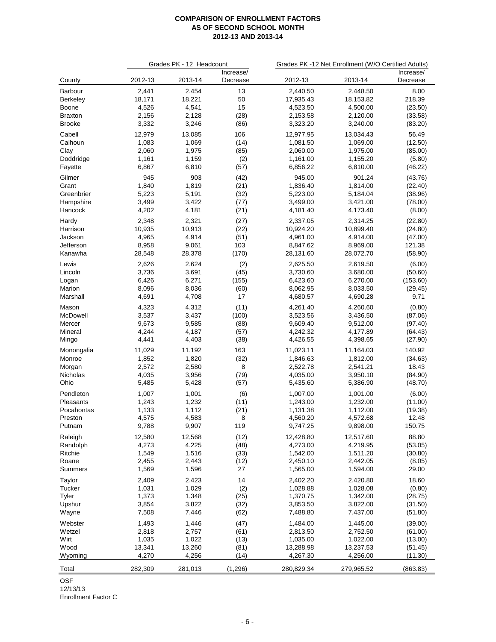|                 |         | Grades PK - 12 Headcount |                       | Grades PK -12 Net Enrollment (W/O Certified Adults) |            |                       |
|-----------------|---------|--------------------------|-----------------------|-----------------------------------------------------|------------|-----------------------|
| County          | 2012-13 | 2013-14                  | Increase/<br>Decrease | 2012-13                                             | 2013-14    | Increase/<br>Decrease |
| Barbour         | 2,441   | 2,454                    | 13                    | 2,440.50                                            | 2,448.50   | 8.00                  |
| <b>Berkeley</b> | 18,171  | 18,221                   | 50                    | 17,935.43                                           | 18,153.82  | 218.39                |
| <b>Boone</b>    | 4,526   | 4,541                    | 15                    | 4,523.50                                            | 4,500.00   | (23.50)               |
| <b>Braxton</b>  | 2,156   | 2,128                    | (28)                  | 2,153.58                                            | 2,120.00   | (33.58)               |
| <b>Brooke</b>   | 3,332   | 3,246                    | (86)                  | 3,323.20                                            | 3,240.00   | (83.20)               |
| Cabell          | 12,979  | 13,085                   | 106                   | 12,977.95                                           | 13,034.43  | 56.49                 |
| Calhoun         | 1,083   | 1,069                    | (14)                  | 1,081.50                                            | 1,069.00   | (12.50)               |
| Clay            | 2,060   | 1,975                    | (85)                  | 2,060.00                                            | 1,975.00   | (85.00)               |
| Doddridge       | 1,161   | 1,159                    | (2)                   | 1,161.00                                            | 1,155.20   | (5.80)                |
| Fayette         | 6,867   | 6,810                    | (57)                  | 6,856.22                                            | 6,810.00   | (46.22)               |
| Gilmer          | 945     | 903                      | (42)                  | 945.00                                              | 901.24     | (43.76)               |
| Grant           | 1,840   | 1,819                    | (21)                  | 1,836.40                                            | 1,814.00   | (22.40)               |
| Greenbrier      | 5,223   | 5,191                    | (32)                  | 5,223.00                                            | 5,184.04   | (38.96)               |
| Hampshire       | 3,499   | 3,422                    | (77)                  | 3,499.00                                            | 3,421.00   | (78.00)               |
| Hancock         | 4,202   | 4,181                    | (21)                  | 4,181.40                                            | 4,173.40   | (8.00)                |
|                 |         |                          |                       |                                                     |            |                       |
| Hardy           | 2,348   | 2,321                    | (27)                  | 2,337.05                                            | 2,314.25   | (22.80)               |
| Harrison        | 10,935  | 10,913                   | (22)                  | 10,924.20                                           | 10,899.40  | (24.80)               |
| Jackson         | 4,965   | 4,914                    | (51)                  | 4,961.00                                            | 4,914.00   | (47.00)<br>121.38     |
| Jefferson       | 8,958   | 9,061                    | 103                   | 8,847.62                                            | 8,969.00   |                       |
| Kanawha         | 28,548  | 28,378                   | (170)                 | 28,131.60                                           | 28,072.70  | (58.90)               |
| Lewis           | 2,626   | 2,624                    | (2)                   | 2,625.50                                            | 2,619.50   | (6.00)                |
| Lincoln         | 3,736   | 3,691                    | (45)                  | 3,730.60                                            | 3,680.00   | (50.60)               |
| Logan           | 6,426   | 6,271                    | (155)                 | 6,423.60                                            | 6,270.00   | (153.60)              |
| Marion          | 8,096   | 8,036                    | (60)                  | 8,062.95                                            | 8,033.50   | (29.45)               |
| Marshall        | 4,691   | 4,708                    | 17                    | 4,680.57                                            | 4,690.28   | 9.71                  |
| Mason           | 4,323   | 4,312                    | (11)                  | 4,261.40                                            | 4,260.60   | (0.80)                |
| McDowell        | 3,537   | 3,437                    | (100)                 | 3,523.56                                            | 3,436.50   | (87.06)               |
| Mercer          | 9,673   | 9,585                    | (88)                  | 9,609.40                                            | 9,512.00   | (97.40)               |
| Mineral         | 4,244   | 4,187                    | (57)                  | 4,242.32                                            | 4,177.89   | (64.43)               |
| Mingo           | 4,441   | 4,403                    | (38)                  | 4,426.55                                            | 4,398.65   | (27.90)               |
| Monongalia      | 11,029  | 11,192                   | 163                   | 11,023.11                                           | 11,164.03  | 140.92                |
| Monroe          | 1,852   | 1,820                    | (32)                  | 1,846.63                                            | 1,812.00   | (34.63)               |
| Morgan          | 2,572   | 2,580                    | 8                     | 2,522.78                                            | 2,541.21   | 18.43                 |
| Nicholas        | 4,035   | 3,956                    | (79)                  | 4,035.00                                            | 3,950.10   | (84.90)               |
| Ohio            | 5,485   | 5,428                    | (57)                  | 5,435.60                                            | 5,386.90   | (48.70)               |
|                 |         |                          |                       |                                                     |            |                       |
| Pendleton       | 1,007   | 1,001                    | (6)                   | 1,007.00                                            | 1,001.00   | (6.00)                |
| Pleasants       | 1,243   | 1,232                    | (11)                  | 1,243.00                                            | 1,232.00   | (11.00)               |
| Pocahontas      | 1,133   | 1,112                    | (21)                  | 1,131.38                                            | 1,112.00   | (19.38)               |
| Preston         | 4,575   | 4,583                    | 8                     | 4,560.20                                            | 4,572.68   | 12.48                 |
| Putnam          | 9,788   | 9,907                    | 119                   | 9,747.25                                            | 9,898.00   | 150.75                |
| Raleigh         | 12,580  | 12,568                   | (12)                  | 12,428.80                                           | 12,517.60  | 88.80                 |
| Randolph        | 4,273   | 4,225                    | (48)                  | 4,273.00                                            | 4,219.95   | (53.05)               |
| Ritchie         | 1,549   | 1,516                    | (33)                  | 1,542.00                                            | 1,511.20   | (30.80)               |
| Roane           | 2,455   | 2,443                    | (12)                  | 2,450.10                                            | 2,442.05   | (8.05)                |
| Summers         | 1,569   | 1,596                    | 27                    | 1,565.00                                            | 1,594.00   | 29.00                 |
| Taylor          | 2,409   | 2,423                    | 14                    | 2,402.20                                            | 2,420.80   | 18.60                 |
| Tucker          | 1,031   | 1,029                    | (2)                   | 1,028.88                                            | 1,028.08   | (0.80)                |
| Tyler           | 1,373   | 1,348                    | (25)                  | 1,370.75                                            | 1,342.00   | (28.75)               |
| Upshur          | 3,854   | 3,822                    | (32)                  | 3,853.50                                            | 3,822.00   | (31.50)               |
| Wayne           | 7,508   | 7,446                    | (62)                  | 7,488.80                                            | 7,437.00   | (51.80)               |
|                 |         |                          |                       |                                                     |            |                       |
| Webster         | 1,493   | 1,446                    | (47)                  | 1,484.00                                            | 1,445.00   | (39.00)               |
| Wetzel          | 2,818   | 2,757                    | (61)                  | 2,813.50                                            | 2,752.50   | (61.00)               |
| Wirt            | 1,035   | 1,022                    | (13)                  | 1,035.00                                            | 1,022.00   | (13.00)               |
| Wood            | 13,341  | 13,260                   | (81)                  | 13,288.98                                           | 13,237.53  | (51.45)               |
| Wyoming         | 4,270   | 4,256                    | (14)                  | 4,267.30                                            | 4,256.00   | (11.30)               |
| Total           | 282,309 | 281,013                  | (1, 296)              | 280,829.34                                          | 279,965.52 | (863.83)              |
|                 |         |                          |                       |                                                     |            |                       |

OSF

12/13/13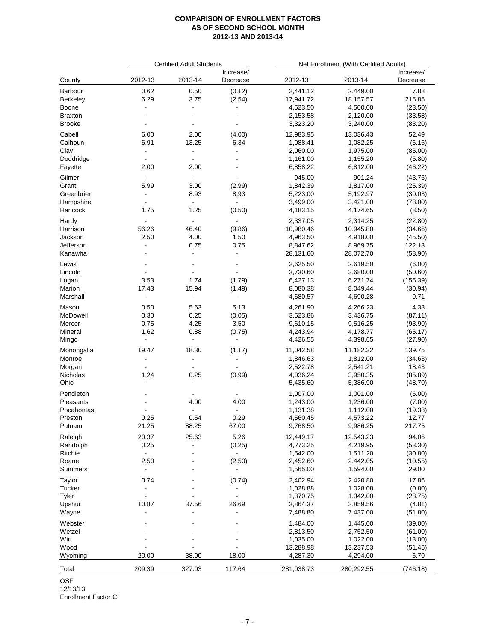|                      |                          | <b>Certified Adult Students</b> |                              |                      | Net Enrollment (With Certified Adults) |                       |
|----------------------|--------------------------|---------------------------------|------------------------------|----------------------|----------------------------------------|-----------------------|
| County               | 2012-13                  | 2013-14                         | Increase/<br>Decrease        | 2012-13              | 2013-14                                | Increase/<br>Decrease |
| Barbour              | 0.62                     | 0.50                            | (0.12)                       | 2,441.12             | 2,449.00                               | 7.88                  |
| Berkeley             | 6.29                     | 3.75                            | (2.54)                       | 17,941.72            | 18,157.57                              | 215.85                |
| Boone                | $\overline{\phantom{a}}$ | $\blacksquare$                  |                              | 4,523.50             | 4,500.00                               | (23.50)               |
| <b>Braxton</b>       |                          |                                 | $\overline{\phantom{a}}$     | 2,153.58             | 2,120.00                               | (33.58)               |
| <b>Brooke</b>        |                          |                                 |                              | 3,323.20             | 3,240.00                               | (83.20)               |
| Cabell               | 6.00                     | 2.00                            | (4.00)                       | 12,983.95            | 13,036.43                              | 52.49                 |
| Calhoun              | 6.91                     | 13.25                           | 6.34                         | 1,088.41             | 1,082.25                               | (6.16)                |
| Clay                 | ÷,                       | $\blacksquare$                  | $\blacksquare$               | 2,060.00             | 1,975.00                               | (85.00)               |
| Doddridge            | $\blacksquare$           | $\blacksquare$                  | $\qquad \qquad \blacksquare$ | 1,161.00             | 1,155.20                               | (5.80)                |
| Fayette              | 2.00                     | 2.00                            |                              | 6,858.22             | 6,812.00                               | (46.22)               |
| Gilmer               |                          | $\overline{\phantom{a}}$        |                              | 945.00               | 901.24                                 | (43.76)               |
| Grant                | 5.99                     | 3.00                            | (2.99)                       | 1,842.39             | 1,817.00                               | (25.39)               |
| Greenbrier           | $\blacksquare$           | 8.93                            | 8.93                         | 5,223.00             | 5,192.97                               | (30.03)               |
| Hampshire            |                          | $\overline{\phantom{a}}$        | $\blacksquare$               | 3,499.00             | 3,421.00                               | (78.00)               |
| Hancock              | 1.75                     | 1.25                            | (0.50)                       | 4,183.15             | 4,174.65                               | (8.50)                |
| Hardy                | ÷.                       | $\blacksquare$                  | $\blacksquare$               | 2,337.05             | 2,314.25                               | (22.80)               |
| Harrison             | 56.26                    | 46.40                           | (9.86)                       | 10,980.46            | 10,945.80                              | (34.66)               |
| Jackson<br>Jefferson | 2.50<br>$\blacksquare$   | 4.00<br>0.75                    | 1.50<br>0.75                 | 4,963.50<br>8,847.62 | 4,918.00<br>8,969.75                   | (45.50)<br>122.13     |
| Kanawha              |                          | $\blacksquare$                  | $\blacksquare$               | 28,131.60            | 28,072.70                              | (58.90)               |
|                      |                          |                                 |                              |                      |                                        |                       |
| Lewis                |                          |                                 | $\blacksquare$               | 2,625.50             | 2,619.50                               | (6.00)                |
| Lincoln              | $\blacksquare$           | $\blacksquare$<br>1.74          |                              | 3,730.60<br>6,427.13 | 3,680.00                               | (50.60)               |
| Logan<br>Marion      | 3.53<br>17.43            | 15.94                           | (1.79)<br>(1.49)             | 8,080.38             | 6,271.74<br>8,049.44                   | (155.39)<br>(30.94)   |
| Marshall             | $\blacksquare$           | $\blacksquare$                  | $\blacksquare$               | 4,680.57             | 4,690.28                               | 9.71                  |
|                      |                          |                                 |                              |                      |                                        |                       |
| Mason<br>McDowell    | 0.50<br>0.30             | 5.63<br>0.25                    | 5.13<br>(0.05)               | 4,261.90<br>3,523.86 | 4,266.23<br>3,436.75                   | 4.33<br>(87.11)       |
| Mercer               | 0.75                     | 4.25                            | 3.50                         | 9,610.15             | 9,516.25                               | (93.90)               |
| Mineral              | 1.62                     | 0.88                            | (0.75)                       | 4,243.94             | 4,178.77                               | (65.17)               |
| Mingo                | $\blacksquare$           | ÷,                              | $\blacksquare$               | 4,426.55             | 4,398.65                               | (27.90)               |
| Monongalia           | 19.47                    | 18.30                           | (1.17)                       | 11,042.58            | 11,182.32                              | 139.75                |
| Monroe               | $\blacksquare$           | $\blacksquare$                  | $\overline{\phantom{a}}$     | 1,846.63             | 1,812.00                               | (34.63)               |
| Morgan               |                          |                                 |                              | 2,522.78             | 2,541.21                               | 18.43                 |
| Nicholas             | 1.24                     | 0.25                            | (0.99)                       | 4,036.24             | 3,950.35                               | (85.89)               |
| Ohio                 | $\overline{\phantom{a}}$ | $\overline{\phantom{a}}$        | $\overline{\phantom{a}}$     | 5,435.60             | 5,386.90                               | (48.70)               |
| Pendleton            |                          | $\overline{\phantom{a}}$        | $\overline{\phantom{a}}$     | 1,007.00             | 1,001.00                               | (6.00)                |
| Pleasants            |                          | 4.00                            | 4.00                         | 1,243.00             | 1,236.00                               | (7.00)                |
| Pocahontas           |                          | $\blacksquare$                  |                              | 1,131.38             | 1,112.00                               | (19.38)               |
| Preston              | 0.25                     | 0.54                            | 0.29                         | 4,560.45             | 4,573.22                               | 12.77                 |
| Putnam               | 21.25                    | 88.25                           | 67.00                        | 9,768.50             | 9,986.25                               | 217.75                |
| Raleigh              | 20.37                    | 25.63                           | 5.26                         | 12,449.17            | 12,543.23                              | 94.06                 |
| Randolph             | 0.25                     |                                 | (0.25)                       | 4,273.25             | 4,219.95                               | (53.30)               |
| Ritchie              |                          |                                 |                              | 1,542.00             | 1,511.20                               | (30.80)               |
| Roane                | 2.50                     | $\blacksquare$                  | (2.50)                       | 2,452.60             | 2,442.05                               | (10.55)               |
| <b>Summers</b>       | $\overline{\phantom{a}}$ |                                 |                              | 1,565.00             | 1,594.00                               | 29.00                 |
| Taylor               | 0.74                     |                                 | (0.74)                       | 2,402.94             | 2,420.80                               | 17.86                 |
| Tucker               |                          |                                 |                              | 1,028.88             | 1,028.08                               | (0.80)                |
| Tyler                | $\blacksquare$           |                                 | $\overline{a}$               | 1,370.75             | 1,342.00                               | (28.75)               |
| Upshur               | 10.87                    | 37.56                           | 26.69                        | 3,864.37             | 3,859.56                               | (4.81)                |
| Wayne                | ä,                       |                                 | $\blacksquare$               | 7,488.80             | 7,437.00                               | (51.80)               |
| Webster              |                          |                                 |                              | 1,484.00             | 1,445.00                               | (39.00)               |
| Wetzel               |                          |                                 |                              | 2,813.50             | 2,752.50                               | (61.00)               |
| Wirt                 |                          |                                 |                              | 1,035.00             | 1,022.00                               | (13.00)               |
| Wood                 |                          |                                 |                              | 13,288.98            | 13,237.53                              | (51.45)               |
| Wyoming              | 20.00                    | 38.00                           | 18.00                        | 4,287.30             | 4,294.00                               | 6.70                  |
|                      |                          |                                 |                              |                      |                                        |                       |
| Total                | 209.39                   | 327.03                          | 117.64                       | 281,038.73           | 280,292.55                             | (746.18)              |

OSF

12/13/13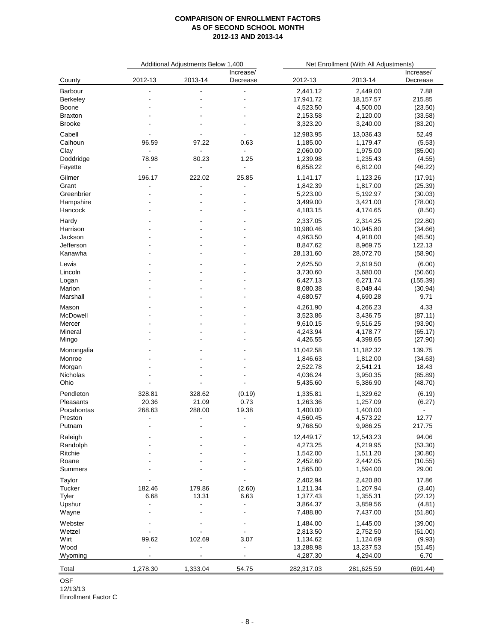|                   |                          | Additional Adjustments Below 1,400 |                                            |            | Net Enrollment (With All Adjustments) |                       |
|-------------------|--------------------------|------------------------------------|--------------------------------------------|------------|---------------------------------------|-----------------------|
| County            | 2012-13                  | 2013-14                            | Increase/<br>Decrease                      | 2012-13    | 2013-14                               | Increase/<br>Decrease |
| Barbour           |                          |                                    |                                            | 2,441.12   | 2,449.00                              | 7.88                  |
| Berkeley          |                          |                                    |                                            | 17,941.72  | 18,157.57                             | 215.85                |
| <b>Boone</b>      |                          |                                    |                                            | 4,523.50   | 4,500.00                              | (23.50)               |
| Braxton           |                          |                                    |                                            | 2,153.58   | 2,120.00                              | (33.58)               |
| <b>Brooke</b>     |                          |                                    |                                            | 3,323.20   | 3,240.00                              | (83.20)               |
| Cabell            |                          |                                    |                                            | 12,983.95  | 13,036.43                             | 52.49                 |
| Calhoun           | 96.59                    | 97.22                              | 0.63                                       | 1,185.00   | 1,179.47                              | (5.53)                |
| Clay              | $\blacksquare$           | $\overline{\phantom{a}}$           | $\overline{\phantom{a}}$                   | 2,060.00   | 1,975.00                              | (85.00)               |
| Doddridge         | 78.98                    | 80.23                              | 1.25                                       | 1,239.98   | 1,235.43                              | (4.55)                |
| Fayette           | $\overline{\phantom{a}}$ | $\blacksquare$                     | $\blacksquare$                             | 6,858.22   | 6,812.00                              | (46.22)               |
| Gilmer            | 196.17                   | 222.02                             | 25.85                                      | 1,141.17   | 1,123.26                              | (17.91)               |
| Grant             |                          |                                    |                                            | 1,842.39   | 1,817.00                              | (25.39)               |
| Greenbrier        |                          |                                    | $\overline{\phantom{a}}$                   | 5,223.00   | 5,192.97                              | (30.03)               |
| Hampshire         |                          |                                    |                                            | 3,499.00   | 3,421.00                              | (78.00)               |
| Hancock           |                          |                                    |                                            | 4,183.15   | 4,174.65                              | (8.50)                |
|                   |                          |                                    |                                            |            |                                       |                       |
| Hardy             |                          |                                    |                                            | 2,337.05   | 2,314.25                              | (22.80)               |
| Harrison          |                          |                                    |                                            | 10,980.46  | 10,945.80                             | (34.66)               |
| Jackson           |                          |                                    |                                            | 4,963.50   | 4,918.00                              | (45.50)               |
| Jefferson         |                          |                                    |                                            | 8,847.62   | 8,969.75                              | 122.13                |
| Kanawha           |                          |                                    |                                            | 28,131.60  | 28,072.70                             | (58.90)               |
| Lewis             |                          |                                    |                                            | 2,625.50   | 2,619.50                              | (6.00)                |
| Lincoln           |                          |                                    |                                            | 3,730.60   | 3,680.00                              | (50.60)               |
| Logan             |                          |                                    |                                            | 6,427.13   | 6,271.74                              | (155.39)              |
| Marion            |                          |                                    |                                            | 8,080.38   | 8,049.44                              | (30.94)               |
| Marshall          |                          |                                    |                                            | 4,680.57   | 4,690.28                              | 9.71                  |
|                   |                          |                                    |                                            | 4,261.90   | 4,266.23                              | 4.33                  |
| Mason<br>McDowell |                          |                                    |                                            | 3,523.86   | 3,436.75                              |                       |
|                   |                          |                                    |                                            |            |                                       | (87.11)               |
| Mercer            |                          |                                    |                                            | 9,610.15   | 9,516.25                              | (93.90)               |
| Mineral           |                          |                                    |                                            | 4,243.94   | 4,178.77                              | (65.17)               |
| Mingo             |                          |                                    |                                            | 4,426.55   | 4,398.65                              | (27.90)               |
| Monongalia        |                          |                                    |                                            | 11,042.58  | 11,182.32                             | 139.75                |
| Monroe            |                          |                                    |                                            | 1,846.63   | 1,812.00                              | (34.63)               |
| Morgan            |                          |                                    |                                            | 2,522.78   | 2,541.21                              | 18.43                 |
| Nicholas          |                          |                                    |                                            | 4,036.24   | 3,950.35                              | (85.89)               |
| Ohio              |                          |                                    |                                            | 5,435.60   | 5,386.90                              | (48.70)               |
| Pendleton         | 328.81                   | 328.62                             | (0.19)                                     | 1,335.81   | 1,329.62                              | (6.19)                |
| Pleasants         | 20.36                    | 21.09                              | 0.73                                       | 1,263.36   | 1,257.09                              | (6.27)                |
| Pocahontas        | 268.63                   | 288.00                             | 19.38                                      | 1,400.00   | 1,400.00                              | Ξ.                    |
| Preston           | $\overline{\phantom{a}}$ | $\overline{\phantom{a}}$           | $\overline{\phantom{a}}$                   | 4,560.45   | 4,573.22                              | 12.77                 |
| Putnam            |                          |                                    |                                            | 9,768.50   | 9,986.25                              | 217.75                |
|                   |                          |                                    |                                            |            |                                       |                       |
| Raleigh           |                          |                                    |                                            | 12,449.17  | 12,543.23                             | 94.06                 |
| Randolph          |                          |                                    |                                            | 4,273.25   | 4,219.95                              | (53.30)               |
| Ritchie           |                          |                                    |                                            | 1,542.00   | 1,511.20                              | (30.80)               |
| Roane             |                          |                                    |                                            | 2,452.60   | 2,442.05                              | (10.55)               |
| Summers           |                          |                                    |                                            | 1,565.00   | 1,594.00                              | 29.00                 |
| Taylor            |                          |                                    |                                            | 2,402.94   | 2,420.80                              | 17.86                 |
| Tucker            | 182.46                   | 179.86                             | (2.60)                                     | 1,211.34   | 1,207.94                              | (3.40)                |
| Tyler             | 6.68                     | 13.31                              | 6.63                                       | 1,377.43   | 1,355.31                              | (22.12)               |
| Upshur            |                          |                                    | $\overline{\phantom{a}}$                   | 3,864.37   | 3,859.56                              | (4.81)                |
| Wayne             |                          |                                    | $\overline{\phantom{a}}$                   | 7,488.80   | 7,437.00                              | (51.80)               |
| Webster           |                          |                                    |                                            |            |                                       |                       |
| Wetzel            |                          |                                    | $\overline{\phantom{a}}$<br>$\blacksquare$ | 1,484.00   | 1,445.00                              | (39.00)               |
| Wirt              |                          |                                    |                                            | 2,813.50   | 2,752.50                              | (61.00)               |
|                   | 99.62                    | 102.69                             | 3.07                                       | 1,134.62   | 1,124.69                              | (9.93)                |
| Wood              |                          |                                    | $\blacksquare$                             | 13,288.98  | 13,237.53                             | (51.45)               |
| Wyoming           |                          |                                    | $\overline{\phantom{a}}$                   | 4,287.30   | 4,294.00                              | 6.70                  |
| Total             | 1,278.30                 | 1,333.04                           | 54.75                                      | 282,317.03 | 281,625.59                            | (691.44)              |

OSF

12/13/13